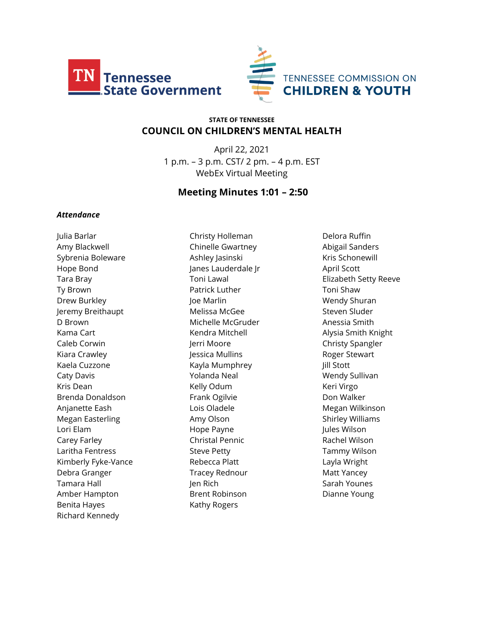



## **STATE OF TENNESSEE COUNCIL ON CHILDREN'S MENTAL HEALTH**

April 22, 2021 1 p.m. – 3 p.m. CST/ 2 pm. – 4 p.m. EST WebEx Virtual Meeting

## **Meeting Minutes 1:01 – 2:50**

#### *Attendance*

Julia Barlar Amy Blackwell Sybrenia Boleware Hope Bond Tara Bray Ty Brown Drew Burkley Jeremy Breithaupt D Brown Kama Cart Caleb Corwin Kiara Crawley Kaela Cuzzone Caty Davis Kris Dean Brenda Donaldson Anjanette Eash Megan Easterling Lori Elam Carey Farley Laritha Fentress Kimberly Fyke-Vance Debra Granger Tamara Hall Amber Hampton Benita Hayes Richard Kennedy

Christy Holleman Chinelle Gwartney Ashley Jasinski Janes Lauderdale Jr Toni Lawal Patrick Luther Joe Marlin Melissa McGee Michelle McGruder Kendra Mitchell Jerri Moore Jessica Mullins Kayla Mumphrey Yolanda Neal Kelly Odum Frank Ogilvie Lois Oladele Amy Olson Hope Payne Christal Pennic Steve Petty Rebecca Platt Tracey Rednour Jen Rich Brent Robinson Kathy Rogers

Delora Ruffin Abigail Sanders Kris Schonewill April Scott Elizabeth Setty Reeve Toni Shaw Wendy Shuran Steven Sluder Anessia Smith Alysia Smith Knight Christy Spangler Roger Stewart Jill Stott Wendy Sullivan Keri Virgo Don Walker Megan Wilkinson Shirley Williams Jules Wilson Rachel Wilson Tammy Wilson Layla Wright Matt Yancey Sarah Younes Dianne Young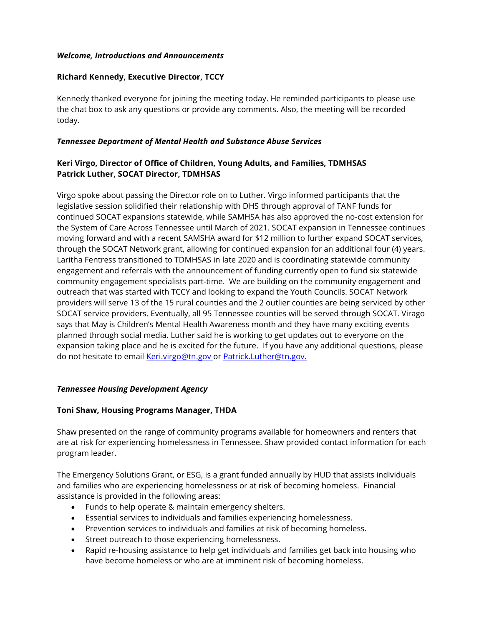### *Welcome, Introductions and Announcements*

## **Richard Kennedy, Executive Director, TCCY**

Kennedy thanked everyone for joining the meeting today. He reminded participants to please use the chat box to ask any questions or provide any comments. Also, the meeting will be recorded today.

### *Tennessee Department of Mental Health and Substance Abuse Services*

# **Keri Virgo, Director of Office of Children, Young Adults, and Families, TDMHSAS Patrick Luther, SOCAT Director, TDMHSAS**

Virgo spoke about passing the Director role on to Luther. Virgo informed participants that the legislative session solidified their relationship with DHS through approval of TANF funds for continued SOCAT expansions statewide, while SAMHSA has also approved the no-cost extension for the System of Care Across Tennessee until March of 2021. SOCAT expansion in Tennessee continues moving forward and with a recent SAMSHA award for \$12 million to further expand SOCAT services, through the SOCAT Network grant, allowing for continued expansion for an additional four (4) years. Laritha Fentress transitioned to TDMHSAS in late 2020 and is coordinating statewide community engagement and referrals with the announcement of funding currently open to fund six statewide community engagement specialists part-time. We are building on the community engagement and outreach that was started with TCCY and looking to expand the Youth Councils. SOCAT Network providers will serve 13 of the 15 rural counties and the 2 outlier counties are being serviced by other SOCAT service providers. Eventually, all 95 Tennessee counties will be served through SOCAT. Virago says that May is Children's Mental Health Awareness month and they have many exciting events planned through social media. Luther said he is working to get updates out to everyone on the expansion taking place and he is excited for the future. If you have any additional questions, please do not hesitate to email [Keri.virgo@tn.gov](mailto:Keri.virgo@tn.gov) or [Patrick.Luther@tn.gov.](mailto:Patrick.Luther@tn.gov)

#### *Tennessee Housing Development Agency*

## **Toni Shaw, Housing Programs Manager, THDA**

Shaw presented on the range of community programs available for homeowners and renters that are at risk for experiencing homelessness in Tennessee. Shaw provided contact information for each program leader.

The Emergency Solutions Grant, or ESG, is a grant funded annually by HUD that assists individuals and families who are experiencing homelessness or at risk of becoming homeless. Financial assistance is provided in the following areas:

- Funds to help operate & maintain emergency shelters.
- Essential services to individuals and families experiencing homelessness.
- Prevention services to individuals and families at risk of becoming homeless.
- Street outreach to those experiencing homelessness.
- Rapid re-housing assistance to help get individuals and families get back into housing who have become homeless or who are at imminent risk of becoming homeless.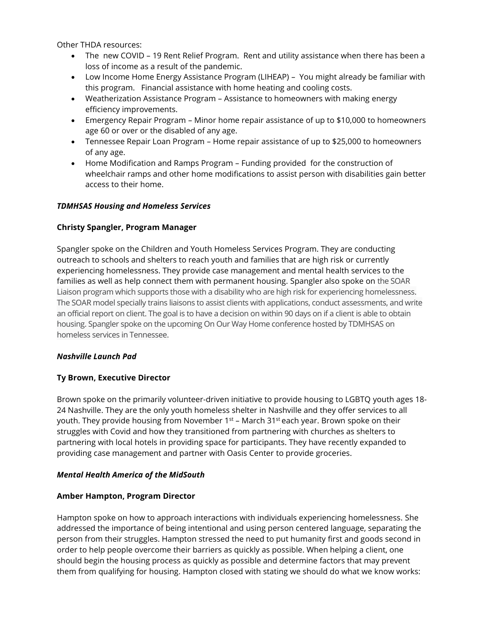Other THDA resources:

- The new COVID 19 Rent Relief Program. Rent and utility assistance when there has been a loss of income as a result of the pandemic.
- Low Income Home Energy Assistance Program (LIHEAP) You might already be familiar with this program. Financial assistance with home heating and cooling costs.
- Weatherization Assistance Program Assistance to homeowners with making energy efficiency improvements.
- Emergency Repair Program Minor home repair assistance of up to \$10,000 to homeowners age 60 or over or the disabled of any age.
- Tennessee Repair Loan Program Home repair assistance of up to \$25,000 to homeowners of any age.
- Home Modification and Ramps Program Funding provided for the construction of wheelchair ramps and other home modifications to assist person with disabilities gain better access to their home.

### *TDMHSAS Housing and Homeless Services*

### **Christy Spangler, Program Manager**

Spangler spoke on the Children and Youth Homeless Services Program. They are conducting outreach to schools and shelters to reach youth and families that are high risk or currently experiencing homelessness. They provide case management and mental health services to the families as well as help connect them with permanent housing. Spangler also spoke on the SOAR Liaison program which supports those with a disability who are high risk for experiencing homelessness. The SOAR model specially trains liaisons to assist clients with applications, conduct assessments, and write an official report on client. The goal is to have a decision on within 90 days on if a client is able to obtain housing. Spangler spoke on the upcoming On Our Way Home conference hosted by TDMHSAS on homeless services in Tennessee.

#### *Nashville Launch Pad*

#### **Ty Brown, Executive Director**

Brown spoke on the primarily volunteer-driven initiative to provide housing to LGBTQ youth ages 18- 24 Nashville. They are the only youth homeless shelter in Nashville and they offer services to all youth. They provide housing from November 1<sup>st</sup> – March 31<sup>st</sup> each year. Brown spoke on their struggles with Covid and how they transitioned from partnering with churches as shelters to partnering with local hotels in providing space for participants. They have recently expanded to providing case management and partner with Oasis Center to provide groceries.

#### *Mental Health America of the MidSouth*

#### **Amber Hampton, Program Director**

Hampton spoke on how to approach interactions with individuals experiencing homelessness. She addressed the importance of being intentional and using person centered language, separating the person from their struggles. Hampton stressed the need to put humanity first and goods second in order to help people overcome their barriers as quickly as possible. When helping a client, one should begin the housing process as quickly as possible and determine factors that may prevent them from qualifying for housing. Hampton closed with stating we should do what we know works: